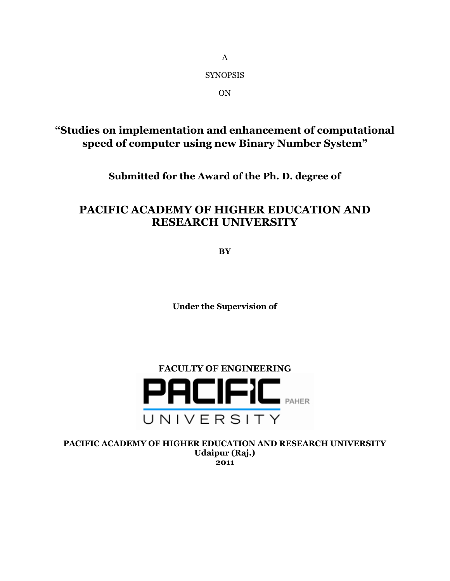SYNOPSIS

A

ON

## **"Studies on implementation and enhancement of computational speed of computer using new Binary Number System"**

**Submitted for the Award of the Ph. D. degree of**

# **PACIFIC ACADEMY OF HIGHER EDUCATION AND RESEARCH UNIVERSITY**

**BY**

**Under the Supervision of**



**PACIFIC ACADEMY OF HIGHER EDUCATION AND RESEARCH UNIVERSITY Udaipur (Raj.) 2011**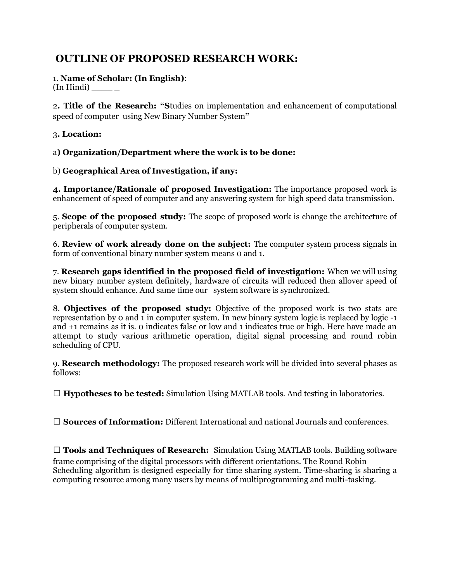## **OUTLINE OF PROPOSED RESEARCH WORK:**

#### 1. **Name of Scholar: (In English)**: (In Hindi) \_\_\_\_ \_

2**. Title of the Research: "S**tudies on implementation and enhancement of computational speed of computer using New Binary Number System**"**

### 3**. Location:**

a**) Organization/Department where the work is to be done:**

## b) **Geographical Area of Investigation, if any:**

**4. Importance/Rationale of proposed Investigation:** The importance proposed work is enhancement of speed of computer and any answering system for high speed data transmission.

5. **Scope of the proposed study:** The scope of proposed work is change the architecture of peripherals of computer system.

6. **Review of work already done on the subject:** The computer system process signals in form of conventional binary number system means 0 and 1.

7. **Research gaps identified in the proposed field of investigation:** When we will using new binary number system definitely, hardware of circuits will reduced then allover speed of system should enhance. And same time our system software is synchronized.

8. **Objectives of the proposed study:** Objective of the proposed work is two stats are representation by 0 and  $\overline{1}$  in computer system. In new binary system logic is replaced by logic  $-1$ and +1 remains as it is. 0 indicates false or low and 1 indicates true or high. Here have made an attempt to study various arithmetic operation, digital signal processing and round robin scheduling of CPU.

9. **Research methodology:** The proposed research work will be divided into several phases as follows:

**Hypotheses to be tested:** Simulation Using MATLAB tools. And testing in laboratories.

**Sources of Information:** Different International and national Journals and conferences.

 **Tools and Techniques of Research:** Simulation Using MATLAB tools. Building software frame comprising of the digital processors with different orientations. The Round Robin Scheduling algorithm is designed especially for time sharing system. Time-sharing is sharing a computing resource among many users by means of multiprogramming and multi-tasking.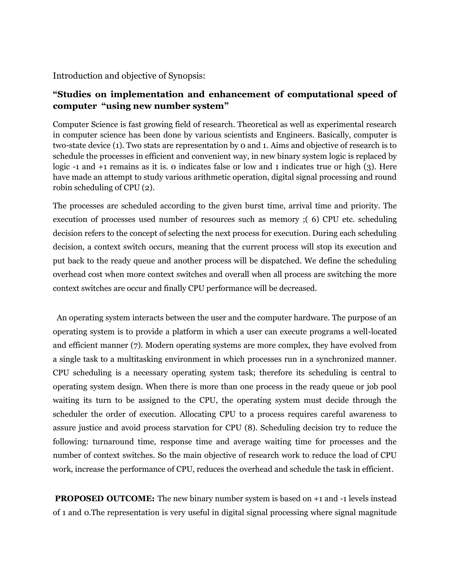Introduction and objective of Synopsis:

## **"Studies on implementation and enhancement of computational speed of computer "using new number system"**

Computer Science is fast growing field of research. Theoretical as well as experimental research in computer science has been done by various scientists and Engineers. Basically, computer is two-state device (1). Two stats are representation by 0 and 1. Aims and objective of research is to schedule the processes in efficient and convenient way, in new binary system logic is replaced by logic -1 and +1 remains as it is. 0 indicates false or low and 1 indicates true or high (3). Here have made an attempt to study various arithmetic operation, digital signal processing and round robin scheduling of CPU (2).

The processes are scheduled according to the given burst time, arrival time and priority. The execution of processes used number of resources such as memory ;( 6) CPU etc. scheduling decision refers to the concept of selecting the next process for execution. During each scheduling decision, a context switch occurs, meaning that the current process will stop its execution and put back to the ready queue and another process will be dispatched. We define the scheduling overhead cost when more context switches and overall when all process are switching the more context switches are occur and finally CPU performance will be decreased.

An operating system interacts between the user and the computer hardware. The purpose of an operating system is to provide a platform in which a user can execute programs a well-located and efficient manner (7). Modern operating systems are more complex, they have evolved from a single task to a multitasking environment in which processes run in a synchronized manner. CPU scheduling is a necessary operating system task; therefore its scheduling is central to operating system design. When there is more than one process in the ready queue or job pool waiting its turn to be assigned to the CPU, the operating system must decide through the scheduler the order of execution. Allocating CPU to a process requires careful awareness to assure justice and avoid process starvation for CPU (8). Scheduling decision try to reduce the following: turnaround time, response time and average waiting time for processes and the number of context switches. So the main objective of research work to reduce the load of CPU work, increase the performance of CPU, reduces the overhead and schedule the task in efficient.

**PROPOSED OUTCOME:** The new binary number system is based on +1 and -1 levels instead of 1 and 0.The representation is very useful in digital signal processing where signal magnitude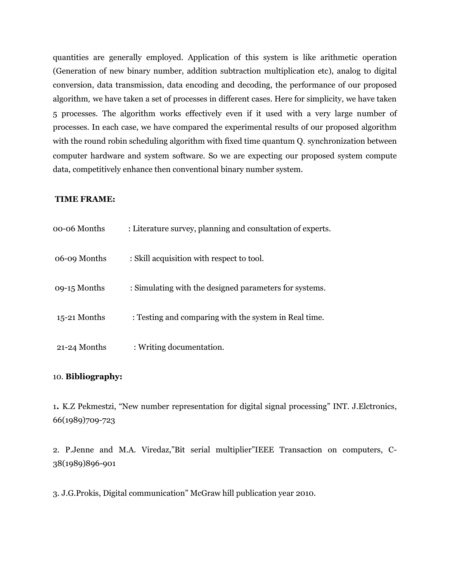quantities are generally employed. Application of this system is like arithmetic operation (Generation of new binary number, addition subtraction multiplication etc), analog to digital conversion, data transmission, data encoding and decoding, the performance of our proposed algorithm, we have taken a set of processes in different cases. Here for simplicity, we have taken 5 processes. The algorithm works effectively even if it used with a very large number of processes. In each case, we have compared the experimental results of our proposed algorithm with the round robin scheduling algorithm with fixed time quantum Q. synchronization between computer hardware and system software. So we are expecting our proposed system compute data, competitively enhance then conventional binary number system.

#### **TIME FRAME:**

| 00-06 Months   | : Literature survey, planning and consultation of experts. |
|----------------|------------------------------------------------------------|
| 06-09 Months   | : Skill acquisition with respect to tool.                  |
| 09-15 Months   | : Simulating with the designed parameters for systems.     |
| $15-21$ Months | : Testing and comparing with the system in Real time.      |
| 21-24 Months   | : Writing documentation.                                   |

#### 10. **Bibliography:**

1**.** K.Z Pekmestzi, "New number representation for digital signal processing" INT. J.Elctronics, 66(1989)709-723

2. P.Jenne and M.A. Viredaz,"Bit serial multiplier"IEEE Transaction on computers, C-38(1989)896-901

3. J.G.Prokis, Digital communication" McGraw hill publication year 2010.